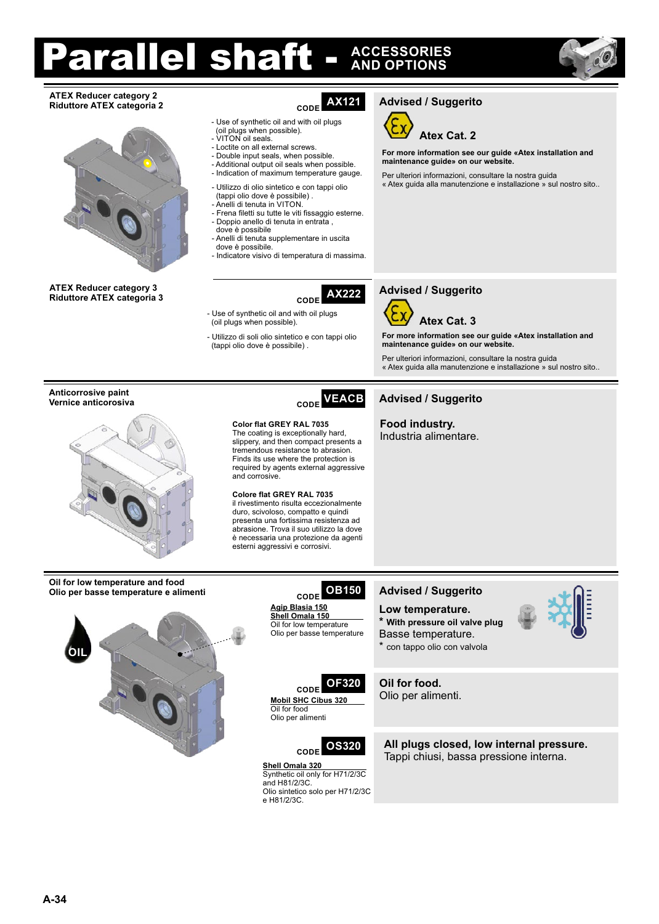## rallel shaft -**AND OPTIONS ACCESSORIES**



## **ATEX Reducer category 2 Riduttore ATEX categoria 2 CODE**



**Riduttore ATEX categoria 3 CODE** 

- Use of synthetic oil and with oil plugs (oil plugs when possible).
- VITON oil seals.
- Loctite on all external screws.
- Double input seals, when possible. - Additional output oil seals when possible. - Indication of maximum temperature gauge.
- Utilizzo di olio sintetico e con tappi olio
- (tappi olio dove è possibile) . - Anelli di tenuta in VITON.
- Frena filetti su tutte le viti fissaggio esterne. - Doppio anello di tenuta in entrata ,
- dove è possibile - Anelli di tenuta supplementare in uscita
- dove è possibile.

- Use of synthetic oil and with oil plugs (oil plugs when possible).

(tappi olio dove è possibile) .

and corrosive.

- Utilizzo di soli olio sintetico e con tappi olio

**Color flat GREY RAL 7035** The coating is exceptionally hard, slippery, and then compact presents a tremendous resistance to abrasion. Finds its use where the protection is required by agents external aggressive

**Colore flat GREY RAL 7035** il rivestimento risulta eccezionalmente duro, scivoloso, compatto e quindi presenta una fortissima resistenza ad abrasione. Trova il suo utilizzo la dove è necessaria una protezione da agenti esterni aggressivi e corrosivi.

- Indicatore visivo di temperatura di massima.

# **AX121**

**AX222**

**Atex Cat. 2**

**Advised / Suggerito**

**For more information see our guide «Atex installation and maintenance guide» on our website.**

Per ulteriori informazioni, consultare la nostra guida « Atex guida alla manutenzione e installazione » sul nostro sito..

## **Advised / Suggerito**



**For more information see our guide «Atex installation and maintenance guide» on our website.**

Per ulteriori informazioni, consultare la nostra guida « Atex guida alla manutenzione e installazione » sul nostro sito..

### **Vernice anticorosiva CODE Advised / Suggerito VEACB**

**Food industry.** Industria alimentare.

# **Anticorrosive paint**

**ATEX Reducer category 3**



**Oil for low temperature and food Olio per basse temperature e alimenti**



**CODE Agip Blasia 150**

Oil for low temperature Olio per basse temperature

**CODE**

# **Advised / Suggerito**

- **Low temperature. \* With pressure oil valve plug**
- Basse temperature. \* con tappo olio con valvola

**Oil for food. OF320**

**Mobil SHC Cibus 320**  Oil for food Olio per alimenti



Olio per alimenti.



Synthetic oil only for H71/2/3C

Olio sintetico solo per H71/2/3C

and H81/2/3C.

e H81/2/3C.

**All plugs closed, low internal pressure.** Tappi chiusi, bassa pressione interna.



**OB150**

**Shell Omala 150**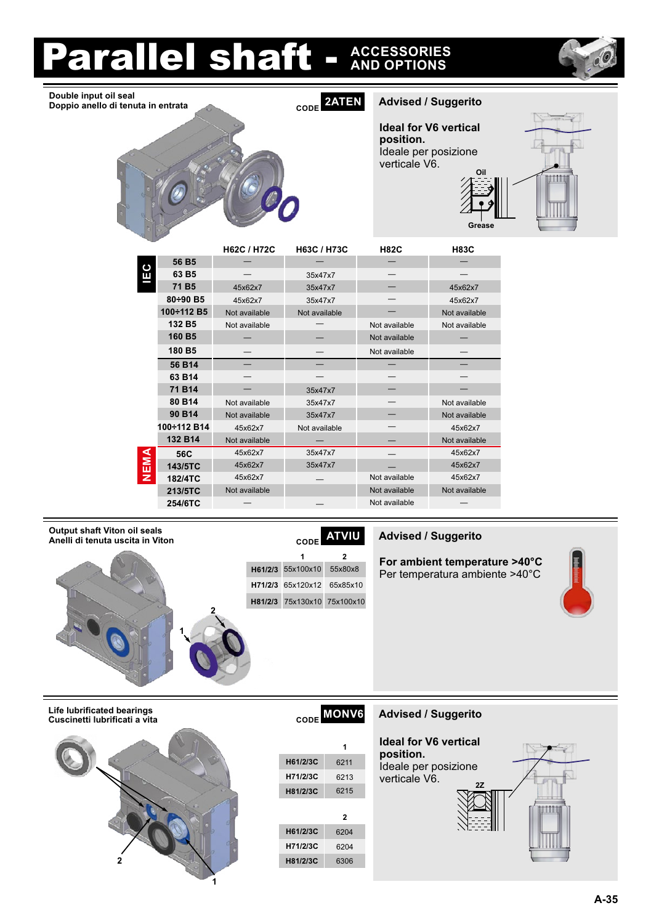# **arallel shaft -ACCESSORIES**



**CODE Advised / Suggerito Double input oil seal Doppio anello di tenuta in entrata**

**2ATEN**

**Ideal for V6 vertical position.** Ideale per posizione verticale V6. **Oil**



|      |                    | <b>H62C / H72C</b> | H63C / H73C   | <b>H82C</b>   | <b>H83C</b>   |
|------|--------------------|--------------------|---------------|---------------|---------------|
| ပ    | 56 B <sub>5</sub>  |                    |               |               |               |
| ш    | 63 B <sub>5</sub>  |                    | 35x47x7       |               |               |
|      | 71 B <sub>5</sub>  | 45x62x7            | 35x47x7       |               | 45x62x7       |
|      | $80 \div 90$ B5    | 45x62x7            | 35x47x7       |               | 45x62x7       |
|      | 100÷112 B5         | Not available      | Not available |               | Not available |
|      | 132 B <sub>5</sub> | Not available      |               | Not available | Not available |
|      | 160 B5             |                    |               | Not available |               |
|      | 180 B5             |                    |               | Not available |               |
|      | 56 B14             |                    |               |               |               |
|      | 63 B14             |                    |               |               |               |
|      | 71 B14             |                    | 35x47x7       |               |               |
|      | 80 B14             | Not available      | 35x47x7       |               | Not available |
|      | 90 B14             | Not available      | 35x47x7       |               | Not available |
|      | 100÷112 B14        | 45x62x7            | Not available |               | 45x62x7       |
|      | 132 B14            | Not available      |               |               | Not available |
|      | 56C                | 45x62x7            | 35x47x7       |               | 45x62x7       |
| NEMA | 143/5TC            | 45x62x7            | 35x47x7       |               | 45x62x7       |
|      | 182/4TC            | 45x62x7            |               | Not available | 45x62x7       |
|      | 213/5TC            | Not available      |               | Not available | Not available |
|      | 254/6TC            |                    |               | Not available |               |

### **Output shaft Viton oil seals Anelli di tenuta uscita in Viton Advised / Suggerito**



# **ATVIU**

**For ambient temperature >40°C** Per temperatura ambiente >40°C



**Life lubrificated bearings Cuscinetti lubrificati a vita**



| <b>MONV6</b><br>CODE |      |  |  |  |  |  |  |  |
|----------------------|------|--|--|--|--|--|--|--|
|                      | 1    |  |  |  |  |  |  |  |
| H61/2/3C             | 6211 |  |  |  |  |  |  |  |
| H71/2/3C             | 6213 |  |  |  |  |  |  |  |
| H81/2/3C             | 6215 |  |  |  |  |  |  |  |
|                      | 2    |  |  |  |  |  |  |  |
| H61/2/3C             | 6204 |  |  |  |  |  |  |  |
| H71/2/3C             | 6204 |  |  |  |  |  |  |  |
| H81/2/3C             | 6306 |  |  |  |  |  |  |  |

## **CODE Advised / Suggerito**

**Ideal for V6 vertical position.** Ideale per posizione verticale V6. **2Z**

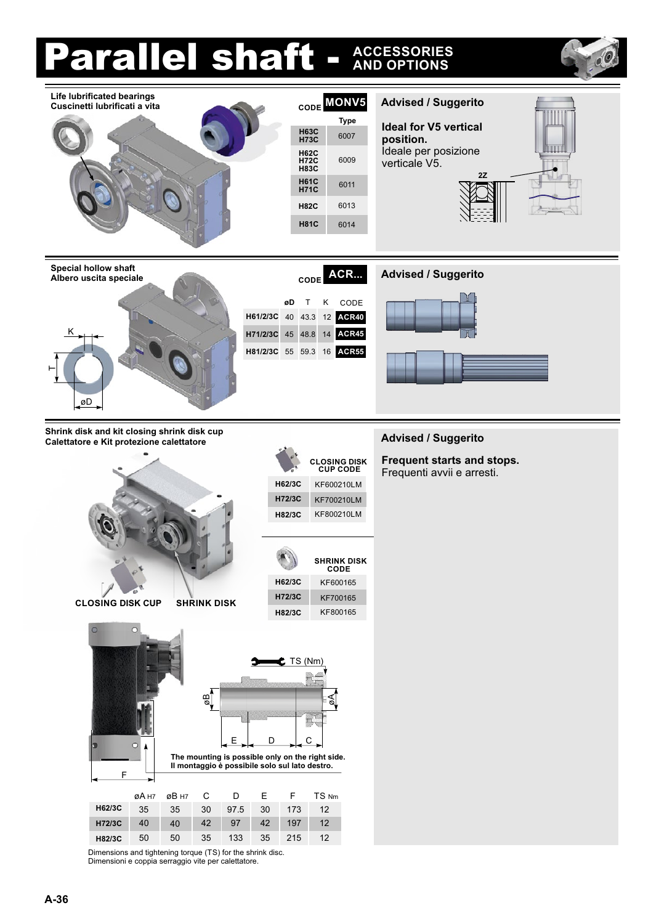#### Parallel shaft - **ACCESSORIES AND OPTIONS CODE Advised / Suggerito Life lubrificated bearings MONV5 Cuscinetti lubrificati a vita Type Ideal for V5 vertical H73C** <sup>6007</sup> **H63C position.** Ideale per posizione TITT **H72C H62C** 6009 verticale V5. **H83C 2Z** <sup>6011</sup> **H71C H61C H82C** 6013 **H81C** 6014 Special hollow shaft<br> **Advised / Suggerito**<br> **Advised / Suggerito**<br> **Advised / Suggerito CODE ACR... Albero uscita speciale** CODE **øD** T K 43.3 12 **ACR40 H61/2/3C** 40 K **ACR45 H71/2/3C** 45 48.8 14 **H81/2/3C** 55 59.3 16 **ACR55**  $\vdash$ øD **Shrink disk and kit closing shrink disk cup CALET SUITER STATES AND RESERVE CONSUMINGLY CALECTATION**<br>Calettatore e Kit protezione calettatore **Frequent starts and stops. CUP CODE CLOSING DISK** Frequenti avvii e arresti. **H62/3C** KF600210LM **H72/3C** KF700210LM KF800210LM **H82/3C SHRINK DISK CODE H62/3C** KF600165 **H72/3C** KF700165 **CLOSING DISK CUP SHRINK DISK** KF800165 **H82/3C** TS (Nm)  $\frac{1}{2}$ øA m, D E C **The mounting is possible only on the right side. Il montaggio è possibile solo sul lato destro.** F øB H7 C F TS Nm D E øA H7 **H62/3C** 35 35 30 97.5 30 173 12 **H72/3C**40 42 97 42 12 40 197 **H82/3C** 50 50 35 133 35 215 12 Dimensions and tightening torque (TS) for the shrink disc. Dimensioni e coppia serraggio vite per calettatore.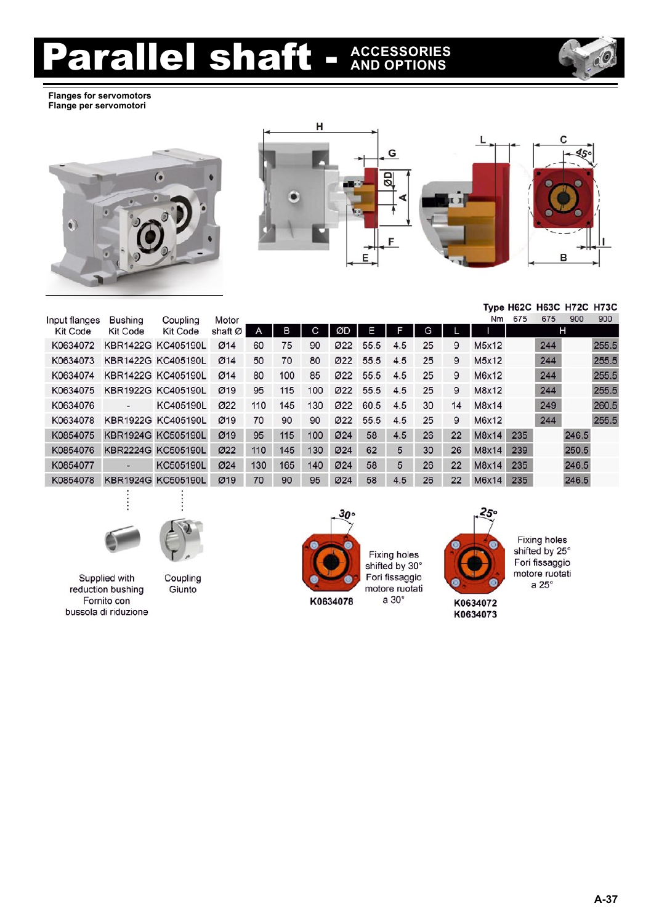# **Parallel shaft -ACCESSORIES**



**Flanges for servomotors Flange per servomotori**





Туре Н62С Н63С Н72С Н73С

| Input flanges   | <b>Bushing</b>           | Coupling           | Motor   |     |     |     |     |      |     |    |    | Nm     | 675 | 675 | 900   | 900   |
|-----------------|--------------------------|--------------------|---------|-----|-----|-----|-----|------|-----|----|----|--------|-----|-----|-------|-------|
| <b>Kit Code</b> | Kit Code                 | Kit Code           | shaft Ø | A   | в   | С   | ØD  | Е    |     | G  |    |        |     |     | н     |       |
| K0634072        |                          | KBR1422G KC405190L | Ø14     | 60  | 75  | 90  | Ø22 | 55.5 | 4.5 | 25 | 9  | M5x12  |     | 244 |       | 255.5 |
| K0634073        |                          | KBR1422G KC405190L | Ø14     | 50  | 70  | 80  | Ø22 | 55.5 | 4.5 | 25 | 9  | M5x12  |     | 244 |       | 255.5 |
| K0634074        |                          | KBR1422G KC405190L | Ø14     | 80  | 100 | 85  | Ø22 | 55.5 | 4.5 | 25 | 9  | M6x12  |     | 244 |       | 255.5 |
| K0634075        |                          | KBR1922G KC405190L | Ø19     | 95  | 115 | 100 | Ø22 | 55.5 | 4.5 | 25 | 9  | M8x12  |     | 244 |       | 255.5 |
| K0634076        | $\overline{\phantom{a}}$ | KC405190L          | Ø22     | 110 | 145 | 130 | Ø22 | 60.5 | 4.5 | 30 | 14 | M8x14  |     | 249 |       | 260.5 |
| K0634078        |                          | KBR1922G KC405190L | Ø19     | 70  | 90  | 90  | Ø22 | 55.5 | 4.5 | 25 | 9  | M6x12  |     | 244 |       | 255.5 |
| K0854075        |                          | KBR1924G KC505190L | Ø19     | 95  | 115 | 100 | Ø24 | 58   | 4.5 | 26 | 22 | M8x14  | 235 |     | 246.5 |       |
| K0854076        |                          | KBR2224G KC505190L | Ø22     | 110 | 145 | 130 | Ø24 | 62   | 5   | 30 | 26 | M8x14  | 239 |     | 250.5 |       |
| K0854077        |                          | KC505190L          | Ø24     | 130 | 165 | 140 | Ø24 | 58   | 5   | 26 | 22 | M8x14  | 235 |     | 246.5 |       |
| K0854078        |                          | KBR1924G KC505190L | Ø19     | 70  | 90  | 95  | Ø24 | 58   | 4.5 | 26 | 22 | M6x14  | 235 |     | 246.5 |       |
|                 |                          |                    |         |     |     |     |     |      |     |    |    |        |     |     |       |       |
|                 |                          |                    |         |     |     |     |     |      |     |    |    | $\sim$ |     |     |       |       |



Supplied with reduction bushing Fornito con bussola di riduzione





Fixing holes<br>shifted by 30° Fori fissaggio motore ruotati a 30°



Fixing holes<br>shifted by 25° Fori fissaggio motore ruotati a  $25^\circ$